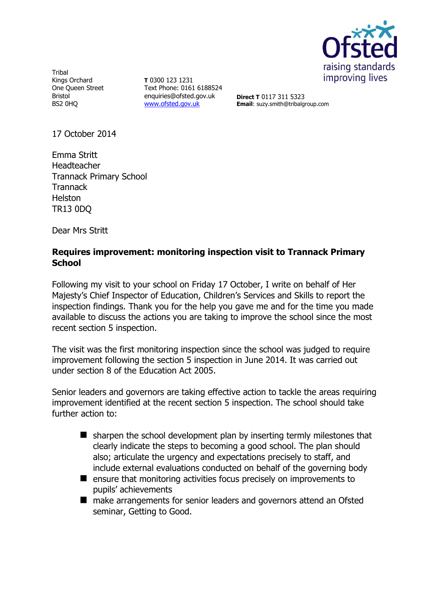

**Tribal** Kings Orchard One Queen Street Bristol BS2 0HQ

**T** 0300 123 1231 Text Phone: 0161 6188524 enquiries@ofsted.gov.uk [www.ofsted.gov.uk](http://www.ofsted.gov.uk/)

**Direct T** 0117 311 5323 **Email**: suzy.smith@tribalgroup.com

17 October 2014

Emma Stritt Headteacher Trannack Primary School **Trannack** Helston TR13 0DQ

Dear Mrs Stritt

## **Requires improvement: monitoring inspection visit to Trannack Primary School**

Following my visit to your school on Friday 17 October, I write on behalf of Her Majesty's Chief Inspector of Education, Children's Services and Skills to report the inspection findings. Thank you for the help you gave me and for the time you made available to discuss the actions you are taking to improve the school since the most recent section 5 inspection.

The visit was the first monitoring inspection since the school was judged to require improvement following the section 5 inspection in June 2014. It was carried out under section 8 of the Education Act 2005.

Senior leaders and governors are taking effective action to tackle the areas requiring improvement identified at the recent section 5 inspection. The school should take further action to:

- $\blacksquare$  sharpen the school development plan by inserting termly milestones that clearly indicate the steps to becoming a good school. The plan should also; articulate the urgency and expectations precisely to staff, and include external evaluations conducted on behalf of the governing body
- $\blacksquare$  ensure that monitoring activities focus precisely on improvements to pupils' achievements
- make arrangements for senior leaders and governors attend an Ofsted seminar, Getting to Good.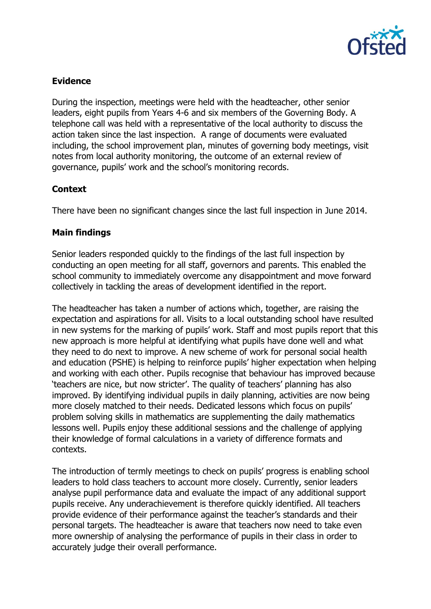

# **Evidence**

During the inspection, meetings were held with the headteacher, other senior leaders, eight pupils from Years 4-6 and six members of the Governing Body. A telephone call was held with a representative of the local authority to discuss the action taken since the last inspection. A range of documents were evaluated including, the school improvement plan, minutes of governing body meetings, visit notes from local authority monitoring, the outcome of an external review of governance, pupils' work and the school's monitoring records.

## **Context**

There have been no significant changes since the last full inspection in June 2014.

# **Main findings**

Senior leaders responded quickly to the findings of the last full inspection by conducting an open meeting for all staff, governors and parents. This enabled the school community to immediately overcome any disappointment and move forward collectively in tackling the areas of development identified in the report.

The headteacher has taken a number of actions which, together, are raising the expectation and aspirations for all. Visits to a local outstanding school have resulted in new systems for the marking of pupils' work. Staff and most pupils report that this new approach is more helpful at identifying what pupils have done well and what they need to do next to improve. A new scheme of work for personal social health and education (PSHE) is helping to reinforce pupils' higher expectation when helping and working with each other. Pupils recognise that behaviour has improved because 'teachers are nice, but now stricter'. The quality of teachers' planning has also improved. By identifying individual pupils in daily planning, activities are now being more closely matched to their needs. Dedicated lessons which focus on pupils' problem solving skills in mathematics are supplementing the daily mathematics lessons well. Pupils enjoy these additional sessions and the challenge of applying their knowledge of formal calculations in a variety of difference formats and contexts.

The introduction of termly meetings to check on pupils' progress is enabling school leaders to hold class teachers to account more closely. Currently, senior leaders analyse pupil performance data and evaluate the impact of any additional support pupils receive. Any underachievement is therefore quickly identified. All teachers provide evidence of their performance against the teacher's standards and their personal targets. The headteacher is aware that teachers now need to take even more ownership of analysing the performance of pupils in their class in order to accurately judge their overall performance.